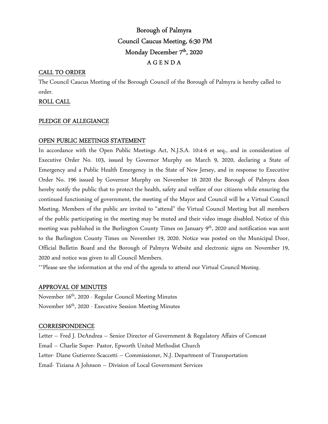# Borough of Palmyra Council Caucus Meeting, 6:30 PM Monday December 7<sup>th</sup>, 2020 A G E N D A

# CALL TO ORDER

The Council Caucus Meeting of the Borough Council of the Borough of Palmyra is hereby called to order.

# ROLL CALL

# PLEDGE OF ALLEGIANCE

# OPEN PUBLIC MEETINGS STATEMENT

In accordance with the Open Public Meetings Act, N.J.S.A. 10:4-6 et seq., and in consideration of Executive Order No. 103, issued by Governor Murphy on March 9, 2020, declaring a State of Emergency and a Public Health Emergency in the State of New Jersey, and in response to Executive Order No. 196 issued by Governor Murphy on November 16 2020 the Borough of Palmyra does hereby notify the public that to protect the health, safety and welfare of our citizens while ensuring the continued functioning of government, the meeting of the Mayor and Council will be a Virtual Council Meeting. Members of the public are invited to "attend" the Virtual Council Meeting but all members of the public participating in the meeting may be muted and their video image disabled. Notice of this meeting was published in the Burlington County Times on January 9<sup>th</sup>, 2020 and notification was sent to the Burlington County Times on November 19, 2020. Notice was posted on the Municipal Door, Official Bulletin Board and the Borough of Palmyra Website and electronic signs on November 19, 2020 and notice was given to all Council Members.

\*\*Please see the information at the end of the agenda to attend our Virtual Council Meeting.

#### APPROVAL OF MINUTES

November 16th, 2020 - Regular Council Meeting Minutes November 16th, 2020 - Executive Session Meeting Minutes

#### **CORRESPONDENCE**

Letter – Fred J. DeAndrea – Senior Director of Government & Regulatory Affairs of Comcast Email – Charlie Soper- Pastor, Epworth United Methodist Church Letter- Diane Gutierrez-Scaccetti – Commissioner, N.J. Department of Transportation Email- Tiziana A Johnson – Division of Local Government Services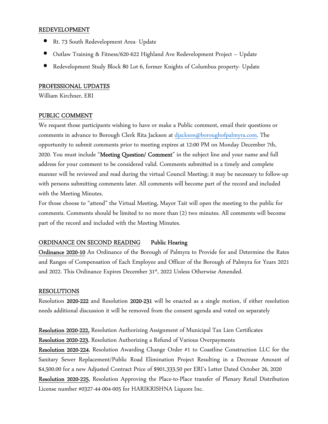#### REDEVELOPMENT

- Rt. 73 South Redevelopment Area- Update
- Outlaw Training & Fitness/620-622 Highland Ave Redevelopment Project Update
- Redevelopment Study Block 80 Lot 6, former Knights of Columbus property- Update

### PROFESSIONAL UPDATES

William Kirchner, ERI

#### PUBLIC COMMENT

We request those participants wishing to have or make a Public comment, email their questions or comments in advance to Borough Clerk Rita Jackson at djackson@boroughofpalmyra.com. The opportunity to submit comments prior to meeting expires at 12:00 PM on Monday December 7th, 2020. You must include "Meeting Question/ Comment" in the subject line and your name and full address for your comment to be considered valid. Comments submitted in a timely and complete manner will be reviewed and read during the virtual Council Meeting; it may be necessary to follow-up with persons submitting comments later. All comments will become part of the record and included with the Meeting Minutes.

For those choose to "attend" the Virtual Meeting, Mayor Tait will open the meeting to the public for comments. Comments should be limited to no more than (2) two minutes. All comments will become part of the record and included with the Meeting Minutes.

# ORDINANCE ON SECOND READING Public Hearing

Ordinance 2020-10 An Ordinance of the Borough of Palmyra to Provide for and Determine the Rates and Ranges of Compensation of Each Employee and Officer of the Borough of Palmyra for Years 2021 and 2022. This Ordinance Expires December 31<sup>st</sup>, 2022 Unless Otherwise Amended.

#### RESOLUTIONS

Resolution 2020-222 and Resolution 2020-231 will be enacted as a single motion, if either resolution needs additional discussion it will be removed from the consent agenda and voted on separately

Resolution 2020-222, Resolution Authorizing Assignment of Municipal Tax Lien Certificates Resolution 2020-223, Resolution Authorizing a Refund of Various Overpayments

Resolution 2020-224, Resolution Awarding Change Order #1 to Coastline Construction LLC for the Sanitary Sewer Replacement/Public Road Elimination Project Resulting in a Decrease Amount of \$4,500.00 for a new Adjusted Contract Price of \$901,333.50 per ERI's Letter Dated October 26, 2020

Resolution 2020-225, Resolution Approving the Place-to-Place transfer of Plenary Retail Distribution License number #0327-44-004-005 for HARIKRISHNA Liquors Inc.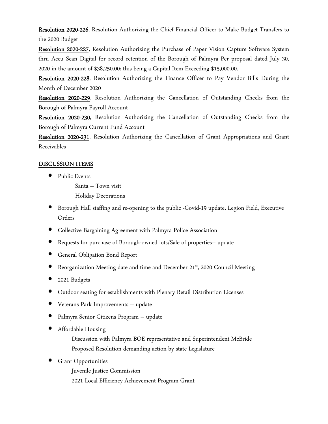Resolution 2020-226, Resolution Authorizing the Chief Financial Officer to Make Budget Transfers to the 2020 Budget

Resolution 2020-227, Resolution Authorizing the Purchase of Paper Vision Capture Software System thru Accu Scan Digital for record retention of the Borough of Palmyra Per proposal dated July 30, 2020 in the amount of \$38,250.00; this being a Capital Item Exceeding \$15,000.00.

Resolution 2020-228, Resolution Authorizing the Finance Officer to Pay Vendor Bills During the Month of December 2020

Resolution 2020-229, Resolution Authorizing the Cancellation of Outstanding Checks from the Borough of Palmyra Payroll Account

Resolution 2020-230, Resolution Authorizing the Cancellation of Outstanding Checks from the Borough of Palmyra Current Fund Account

Resolution 2020-231, Resolution Authorizing the Cancellation of Grant Appropriations and Grant Receivables

# DISCUSSION ITEMS

• Public Events

 Santa – Town visit Holiday Decorations

- Borough Hall staffing and re-opening to the public -Covid-19 update, Legion Field, Executive Orders
- Collective Bargaining Agreement with Palmyra Police Association
- Requests for purchase of Borough-owned lots/Sale of properties– update
- General Obligation Bond Report
- Reorganization Meeting date and time and December 21 st, 2020 Council Meeting
- 2021 Budgets
- Outdoor seating for establishments with Plenary Retail Distribution Licenses
- Veterans Park Improvements update
- Palmyra Senior Citizens Program update
- Affordable Housing

 Discussion with Palmyra BOE representative and Superintendent McBride Proposed Resolution demanding action by state Legislature

- **Grant Opportunities** 
	- Juvenile Justice Commission
	- 2021 Local Efficiency Achievement Program Grant